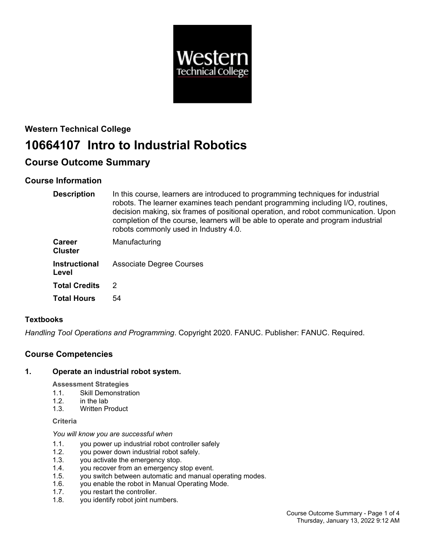

# **Western Technical College 10664107 Intro to Industrial Robotics**

## **Course Outcome Summary**

## **Course Information**

| <b>Description</b>              | In this course, learners are introduced to programming techniques for industrial<br>robots. The learner examines teach pendant programming including I/O, routines,<br>decision making, six frames of positional operation, and robot communication. Upon<br>completion of the course, learners will be able to operate and program industrial<br>robots commonly used in Industry 4.0. |
|---------------------------------|-----------------------------------------------------------------------------------------------------------------------------------------------------------------------------------------------------------------------------------------------------------------------------------------------------------------------------------------------------------------------------------------|
| <b>Career</b><br><b>Cluster</b> | Manufacturing                                                                                                                                                                                                                                                                                                                                                                           |
| <b>Instructional</b><br>Level   | <b>Associate Degree Courses</b>                                                                                                                                                                                                                                                                                                                                                         |
| <b>Total Credits</b>            | 2                                                                                                                                                                                                                                                                                                                                                                                       |
| <b>Total Hours</b>              | 54                                                                                                                                                                                                                                                                                                                                                                                      |

## **Textbooks**

*Handling Tool Operations and Programming*. Copyright 2020. FANUC. Publisher: FANUC. Required.

## **Course Competencies**

## **1. Operate an industrial robot system.**

**Assessment Strategies**

- 1.1. Skill Demonstration
- 1.2. in the lab  $1.3$  Written P
- Written Product

#### **Criteria**

*You will know you are successful when*

- 1.1. you power up industrial robot controller safely
- 1.2. you power down industrial robot safely.
- 1.3. you activate the emergency stop.
- 1.4. you recover from an emergency stop event.
- 1.5. you switch between automatic and manual operating modes.
- 1.6. you enable the robot in Manual Operating Mode.
- 1.7. you restart the controller.
- 1.8. you identify robot joint numbers.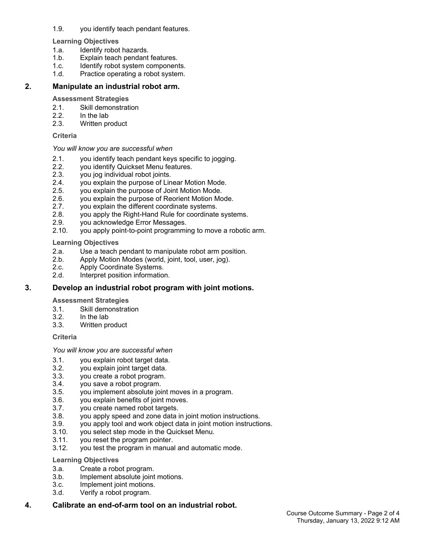1.9. you identify teach pendant features.

#### **Learning Objectives**

- 1.a. Identify robot hazards.
- 1.b. Explain teach pendant features.
- 1.c. Identify robot system components.
- 1.d. Practice operating a robot system.

#### **2. Manipulate an industrial robot arm.**

#### **Assessment Strategies**

- 2.1. Skill demonstration
- 2.2. In the lab
- 2.3. Written product

#### **Criteria**

#### *You will know you are successful when*

- 2.1. you identify teach pendant keys specific to jogging.
- 2.2. you identify Quickset Menu features.
- 2.3. you jog individual robot joints.<br>2.4. vou explain the purpose of Lin
- you explain the purpose of Linear Motion Mode.
- 2.5. you explain the purpose of Joint Motion Mode.
- 2.6. you explain the purpose of Reorient Motion Mode.
- 2.7. you explain the different coordinate systems.
- 2.8. you apply the Right-Hand Rule for coordinate systems.
- 2.9. you acknowledge Error Messages.
- 2.10. you apply point-to-point programming to move a robotic arm.

## **Learning Objectives**

- 2.a. Use a teach pendant to manipulate robot arm position.<br>2.b. Apply Motion Modes (world. joint. tool. user. jog).
- Apply Motion Modes (world, joint, tool, user, jog).
- 2.c. Apply Coordinate Systems.
- 2.d. Interpret position information.

## **3. Develop an industrial robot program with joint motions.**

#### **Assessment Strategies**

- 3.1. Skill demonstration
- 3.2. In the lab
- 3.3. Written product

#### **Criteria**

#### *You will know you are successful when*

- 3.1. you explain robot target data.
- 3.2. you explain joint target data.
- 3.3. you create a robot program.
- 3.4. you save a robot program.
- 3.5. you implement absolute joint moves in a program.
- you explain benefits of joint moves.
- 3.7. you create named robot targets.
- 3.8. you apply speed and zone data in joint motion instructions.
- 3.9. you apply tool and work object data in joint motion instructions.
- 3.10. you select step mode in the Quickset Menu.
- 3.11. you reset the program pointer.
- 3.12. you test the program in manual and automatic mode.

#### **Learning Objectives**

- 3.a. Create a robot program.
- 3.b. Implement absolute joint motions.
- 3.c. Implement joint motions.
- 3.d. Verify a robot program.

## **4. Calibrate an end-of-arm tool on an industrial robot.**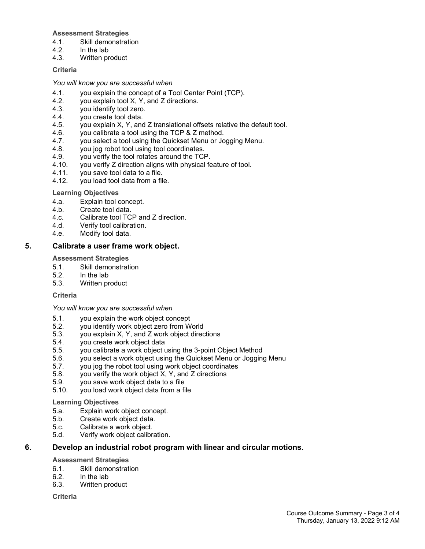#### **Assessment Strategies**

- 4.1. Skill demonstration
- 4.2. In the lab<br>4.3. Written pr
- Written product

#### **Criteria**

*You will know you are successful when*

- 4.1. you explain the concept of a Tool Center Point (TCP).
- 4.2. you explain tool X, Y, and Z directions.
- 4.3. you identify tool zero.
- 4.4. you create tool data.
- 4.5. you explain X, Y, and Z translational offsets relative the default tool.
- 4.6. you calibrate a tool using the TCP & Z method.
- 4.7. you select a tool using the Quickset Menu or Jogging Menu.
- 4.8. you jog robot tool using tool coordinates.<br>4.9. vou verify the tool rotates around the TCF
- you verify the tool rotates around the TCP.
- 4.10. you verify Z direction aligns with physical feature of tool.
- 4.11. you save tool data to a file.
- 4.12. you load tool data from a file.

## **Learning Objectives**

- 4.a. Explain tool concept.
- 4.b. Create tool data.
- 4.c. Calibrate tool TCP and Z direction.
- 4.d. Verify tool calibration.
- 4.e. Modify tool data.

## **5. Calibrate a user frame work object.**

#### **Assessment Strategies**

- 5.1. Skill demonstration
- 5.2. In the lab
- Written product

#### **Criteria**

#### *You will know you are successful when*

- 5.1. you explain the work object concept
- 5.2. you identify work object zero from World
- 5.3. you explain X, Y, and Z work object directions
- 5.4. you create work object data
- 5.5. you calibrate a work object using the 3-point Object Method
- 5.6. you select a work object using the Quickset Menu or Jogging Menu
- 5.7. you jog the robot tool using work object coordinates
- 5.8. you verify the work object X, Y, and Z directions
- 5.9. you save work object data to a file
- 5.10. you load work object data from a file

#### **Learning Objectives**

- 5.a. Explain work object concept.
- 5.b. Create work object data.
- 5.c. Calibrate a work object.
- 5.d. Verify work object calibration.

## **6. Develop an industrial robot program with linear and circular motions.**

#### **Assessment Strategies**

- 6.1. Skill demonstration
- 6.2. In the lab
- 6.3. Written product

#### **Criteria**